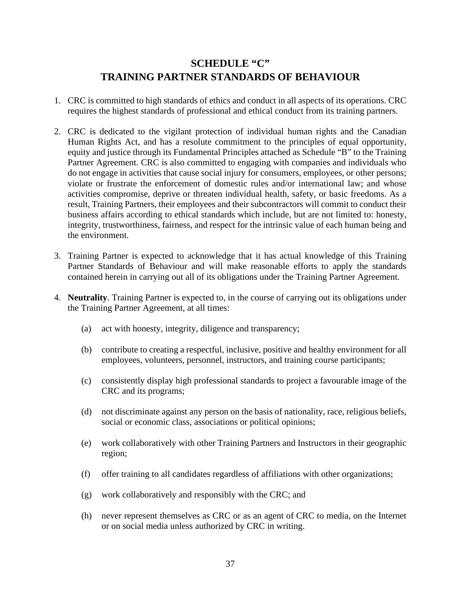## **SCHEDULE "C" TRAINING PARTNER STANDARDS OF BEHAVIOUR**

- 1. CRC is committed to high standards of ethics and conduct in all aspects of its operations. CRC requires the highest standards of professional and ethical conduct from its training partners.
- 2. CRC is dedicated to the vigilant protection of individual human rights and the Canadian Human Rights Act, and has a resolute commitment to the principles of equal opportunity, equity and justice through its Fundamental Principles attached as Schedule "B" to the Training Partner Agreement. CRC is also committed to engaging with companies and individuals who do not engage in activities that cause social injury for consumers, employees, or other persons; violate or frustrate the enforcement of domestic rules and/or international law; and whose activities compromise, deprive or threaten individual health, safety, or basic freedoms. As a result, Training Partners, their employees and their subcontractors will commit to conduct their business affairs according to ethical standards which include, but are not limited to: honesty, integrity, trustworthiness, fairness, and respect for the intrinsic value of each human being and the environment.
- 3. Training Partner is expected to acknowledge that it has actual knowledge of this Training Partner Standards of Behaviour and will make reasonable efforts to apply the standards contained herein in carrying out all of its obligations under the Training Partner Agreement.
- 4. **Neutrality**. Training Partner is expected to, in the course of carrying out its obligations under the Training Partner Agreement, at all times:
	- (a) act with honesty, integrity, diligence and transparency;
	- (b) contribute to creating a respectful, inclusive, positive and healthy environment for all employees, volunteers, personnel, instructors, and training course participants;
	- (c) consistently display high professional standards to project a favourable image of the CRC and its programs;
	- (d) not discriminate against any person on the basis of nationality, race, religious beliefs, social or economic class, associations or political opinions;
	- (e) work collaboratively with other Training Partners and Instructors in their geographic region;
	- (f) offer training to all candidates regardless of affiliations with other organizations;
	- (g) work collaboratively and responsibly with the CRC; and
	- (h) never represent themselves as CRC or as an agent of CRC to media, on the Internet or on social media unless authorized by CRC in writing.